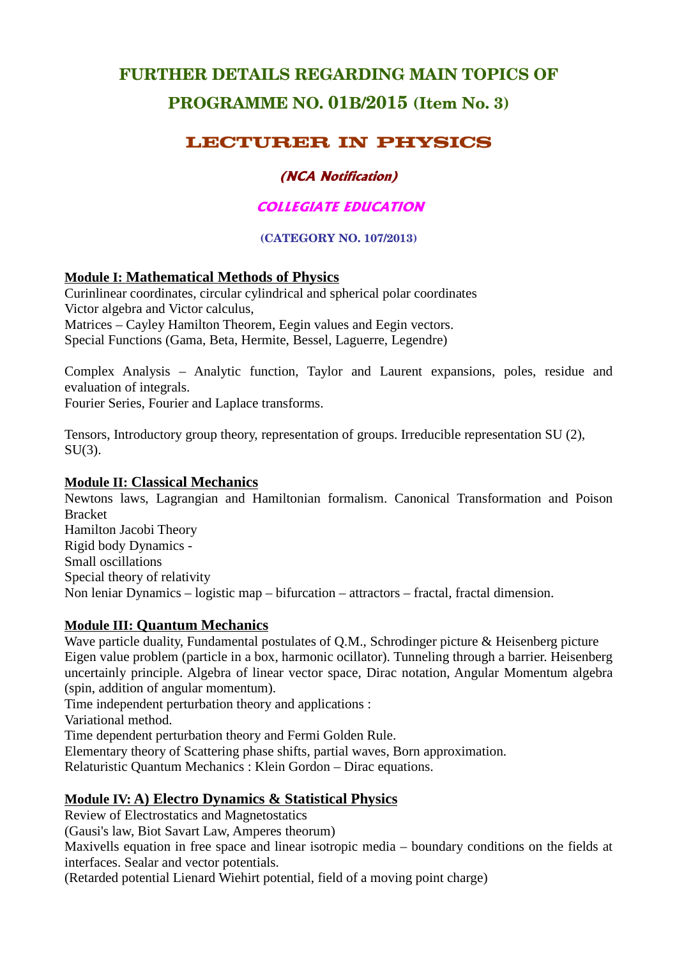# **FURTHER DETAILS REGARDING MAIN TOPICS OF PROGRAMME NO. 01B/2015 (Item No. 3)**

# **LECTURER IN PHYSICS**

# **(NCA Notification)**

# **COLLEGIATE EDUCATION**

#### **(CATEGORY NO. 107/2013)**

# **Module I: Mathematical Methods of Physics**

Curinlinear coordinates, circular cylindrical and spherical polar coordinates Victor algebra and Victor calculus, Matrices – Cayley Hamilton Theorem, Eegin values and Eegin vectors. Special Functions (Gama, Beta, Hermite, Bessel, Laguerre, Legendre)

Complex Analysis – Analytic function, Taylor and Laurent expansions, poles, residue and evaluation of integrals.

Fourier Series, Fourier and Laplace transforms.

Tensors, Introductory group theory, representation of groups. Irreducible representation SU (2),  $SU(3)$ .

#### **Module II: Classical Mechanics**

Newtons laws, Lagrangian and Hamiltonian formalism. Canonical Transformation and Poison Bracket Hamilton Jacobi Theory Rigid body Dynamics - Small oscillations Special theory of relativity Non leniar Dynamics – logistic map – bifurcation – attractors – fractal, fractal dimension.

#### **Module III: Quantum Mechanics**

Wave particle duality, Fundamental postulates of O.M., Schrodinger picture & Heisenberg picture Eigen value problem (particle in a box, harmonic ocillator). Tunneling through a barrier. Heisenberg uncertainly principle. Algebra of linear vector space, Dirac notation, Angular Momentum algebra (spin, addition of angular momentum).

Time independent perturbation theory and applications :

Variational method.

Time dependent perturbation theory and Fermi Golden Rule.

Elementary theory of Scattering phase shifts, partial waves, Born approximation.

Relaturistic Quantum Mechanics : Klein Gordon – Dirac equations.

#### **Module IV: A) Electro Dynamics & Statistical Physics**

Review of Electrostatics and Magnetostatics

(Gausi's law, Biot Savart Law, Amperes theorum)

Maxivells equation in free space and linear isotropic media – boundary conditions on the fields at interfaces. Sealar and vector potentials.

(Retarded potential Lienard Wiehirt potential, field of a moving point charge)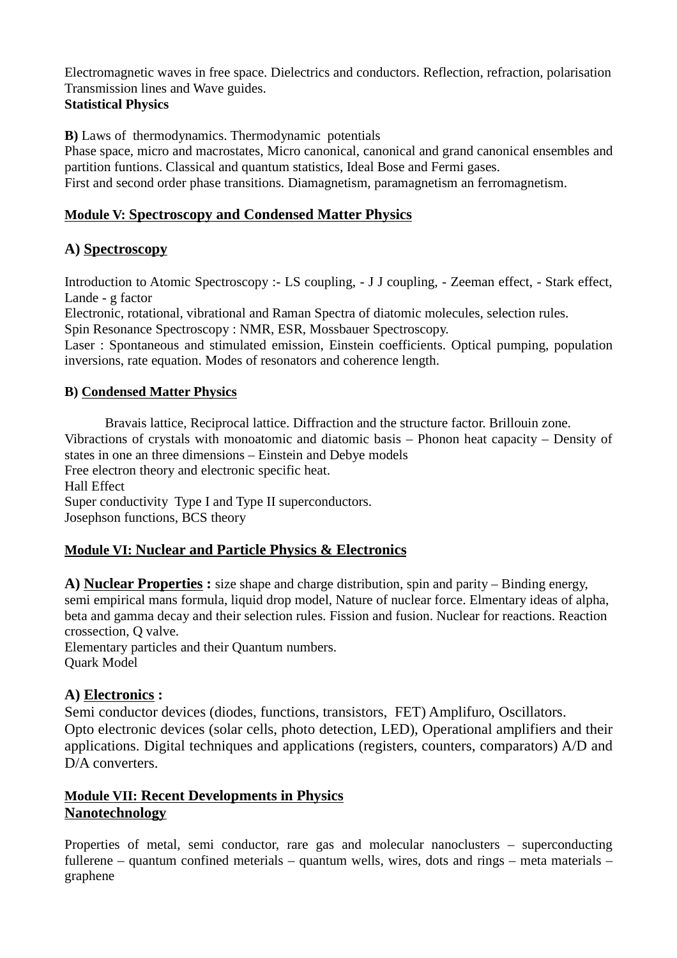Electromagnetic waves in free space. Dielectrics and conductors. Reflection, refraction, polarisation Transmission lines and Wave guides. **Statistical Physics**

**B)** Laws of thermodynamics. Thermodynamic potentials

Phase space, micro and macrostates, Micro canonical, canonical and grand canonical ensembles and partition funtions. Classical and quantum statistics, Ideal Bose and Fermi gases. First and second order phase transitions. Diamagnetism, paramagnetism an ferromagnetism.

#### **Module V: Spectroscopy and Condensed Matter Physics**

# **A) Spectroscopy**

Introduction to Atomic Spectroscopy :- LS coupling, - J J coupling, - Zeeman effect, - Stark effect, Lande - g factor

Electronic, rotational, vibrational and Raman Spectra of diatomic molecules, selection rules. Spin Resonance Spectroscopy : NMR, ESR, Mossbauer Spectroscopy.

Laser : Spontaneous and stimulated emission, Einstein coefficients. Optical pumping, population inversions, rate equation. Modes of resonators and coherence length.

#### **B) Condensed Matter Physics**

Bravais lattice, Reciprocal lattice. Diffraction and the structure factor. Brillouin zone. Vibractions of crystals with monoatomic and diatomic basis – Phonon heat capacity – Density of states in one an three dimensions – Einstein and Debye models Free electron theory and electronic specific heat. Hall Effect Super conductivity Type I and Type II superconductors. Josephson functions, BCS theory

# **Module VI: Nuclear and Particle Physics & Electronics**

**A) Nuclear Properties :** size shape and charge distribution, spin and parity – Binding energy, semi empirical mans formula, liquid drop model, Nature of nuclear force. Elmentary ideas of alpha, beta and gamma decay and their selection rules. Fission and fusion. Nuclear for reactions. Reaction crossection, Q valve.

Elementary particles and their Quantum numbers. Quark Model

#### **A) Electronics :**

Semi conductor devices (diodes, functions, transistors, FET) Amplifuro, Oscillators. Opto electronic devices (solar cells, photo detection, LED), Operational amplifiers and their applications. Digital techniques and applications (registers, counters, comparators) A/D and D/A converters.

#### **Module VII: Recent Developments in Physics Nanotechnology**

Properties of metal, semi conductor, rare gas and molecular nanoclusters – superconducting fullerene – quantum confined meterials – quantum wells, wires, dots and rings – meta materials – graphene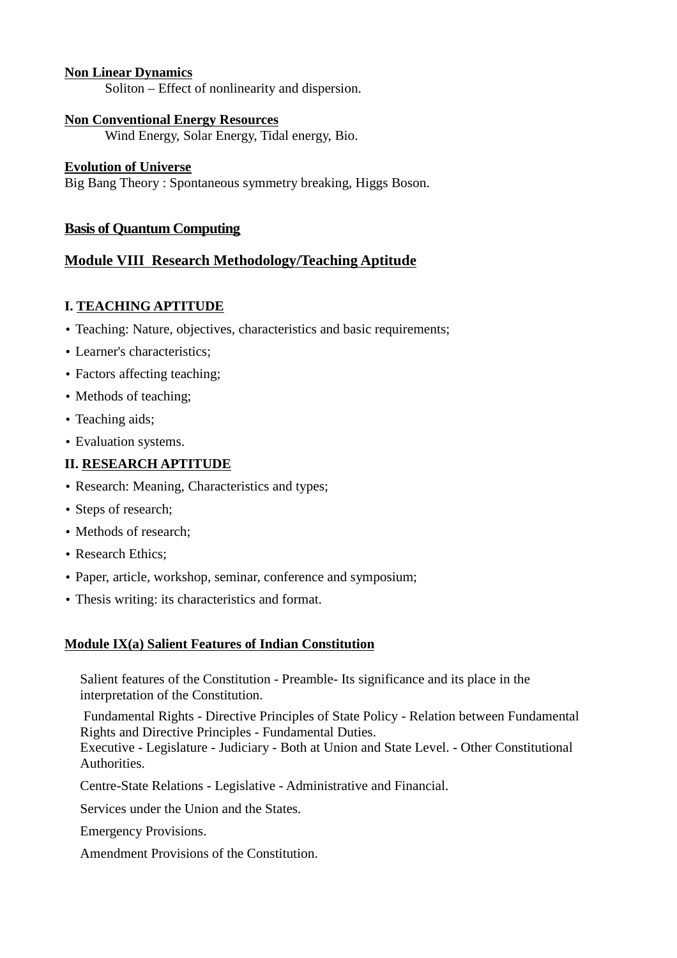#### **Non Linear Dynamics**

Soliton – Effect of nonlinearity and dispersion.

#### **Non Conventional Energy Resources**

Wind Energy, Solar Energy, Tidal energy, Bio.

#### **Evolution of Universe**

Big Bang Theory : Spontaneous symmetry breaking, Higgs Boson.

#### **Basis of Quantum Computing**

### **Module VIII Research Methodology/Teaching Aptitude**

### **I. TEACHING APTITUDE**

- Teaching: Nature, objectives, characteristics and basic requirements;
- Learner's characteristics;
- Factors affecting teaching;
- Methods of teaching;
- Teaching aids:
- Evaluation systems.

#### **II. RESEARCH APTITUDE**

- Research: Meaning, Characteristics and types;
- Steps of research;
- Methods of research:
- Research Ethics;
- Paper, article, workshop, seminar, conference and symposium;
- Thesis writing: its characteristics and format.

#### **Module IX(a) Salient Features of Indian Constitution**

Salient features of the Constitution - Preamble- Its significance and its place in the interpretation of the Constitution.

 Fundamental Rights - Directive Principles of State Policy - Relation between Fundamental Rights and Directive Principles - Fundamental Duties.

Executive - Legislature - Judiciary - Both at Union and State Level. - Other Constitutional Authorities.

Centre-State Relations - Legislative - Administrative and Financial.

Services under the Union and the States.

Emergency Provisions.

Amendment Provisions of the Constitution.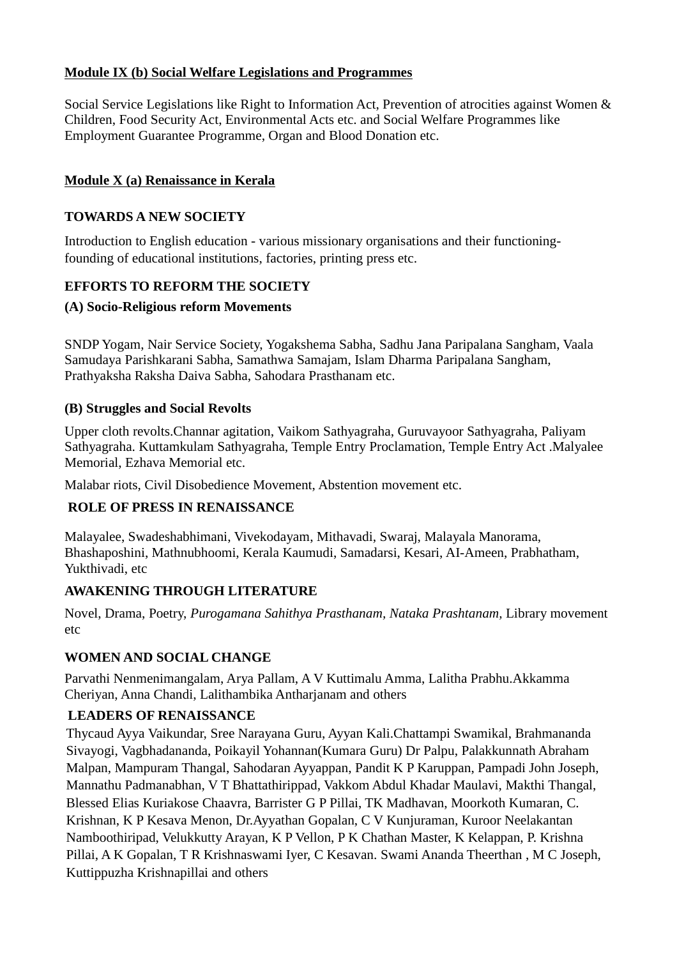### **Module IX (b) Social Welfare Legislations and Programmes**

Social Service Legislations like Right to Information Act, Prevention of atrocities against Women & Children, Food Security Act, Environmental Acts etc. and Social Welfare Programmes like Employment Guarantee Programme, Organ and Blood Donation etc.

### **Module X (a) Renaissance in Kerala**

#### **TOWARDS A NEW SOCIETY**

Introduction to English education - various missionary organisations and their functioningfounding of educational institutions, factories, printing press etc.

### **EFFORTS TO REFORM THE SOCIETY**

#### **(A) Socio-Religious reform Movements**

SNDP Yogam, Nair Service Society, Yogakshema Sabha, Sadhu Jana Paripalana Sangham, Vaala Samudaya Parishkarani Sabha, Samathwa Samajam, Islam Dharma Paripalana Sangham, Prathyaksha Raksha Daiva Sabha, Sahodara Prasthanam etc.

#### **(B) Struggles and Social Revolts**

Upper cloth revolts.Channar agitation, Vaikom Sathyagraha, Guruvayoor Sathyagraha, Paliyam Sathyagraha. Kuttamkulam Sathyagraha, Temple Entry Proclamation, Temple Entry Act .Malyalee Memorial, Ezhava Memorial etc.

Malabar riots, Civil Disobedience Movement, Abstention movement etc.

# **ROLE OF PRESS IN RENAISSANCE**

Malayalee, Swadeshabhimani, Vivekodayam, Mithavadi, Swaraj, Malayala Manorama, Bhashaposhini, Mathnubhoomi, Kerala Kaumudi, Samadarsi, Kesari, AI-Ameen, Prabhatham, Yukthivadi, etc

#### **AWAKENING THROUGH LITERATURE**

Novel, Drama, Poetry, *Purogamana Sahithya Prasthanam, Nataka Prashtanam,* Library movement etc

# **WOMEN AND SOCIAL CHANGE**

Parvathi Nenmenimangalam, Arya Pallam, A V Kuttimalu Amma, Lalitha Prabhu.Akkamma Cheriyan, Anna Chandi, Lalithambika Antharjanam and others

# **LEADERS OF RENAISSANCE**

Thycaud Ayya Vaikundar, Sree Narayana Guru, Ayyan Kali.Chattampi Swamikal, Brahmananda Sivayogi, Vagbhadananda, Poikayil Yohannan(Kumara Guru) Dr Palpu, Palakkunnath Abraham Malpan, Mampuram Thangal, Sahodaran Ayyappan, Pandit K P Karuppan, Pampadi John Joseph, Mannathu Padmanabhan, V T Bhattathirippad, Vakkom Abdul Khadar Maulavi, Makthi Thangal, Blessed Elias Kuriakose Chaavra, Barrister G P Pillai, TK Madhavan, Moorkoth Kumaran, C. Krishnan, K P Kesava Menon, Dr.Ayyathan Gopalan, C V Kunjuraman, Kuroor Neelakantan Namboothiripad, Velukkutty Arayan, K P Vellon, P K Chathan Master, K Kelappan, P. Krishna Pillai, A K Gopalan, T R Krishnaswami Iyer, C Kesavan. Swami Ananda Theerthan , M C Joseph, Kuttippuzha Krishnapillai and others